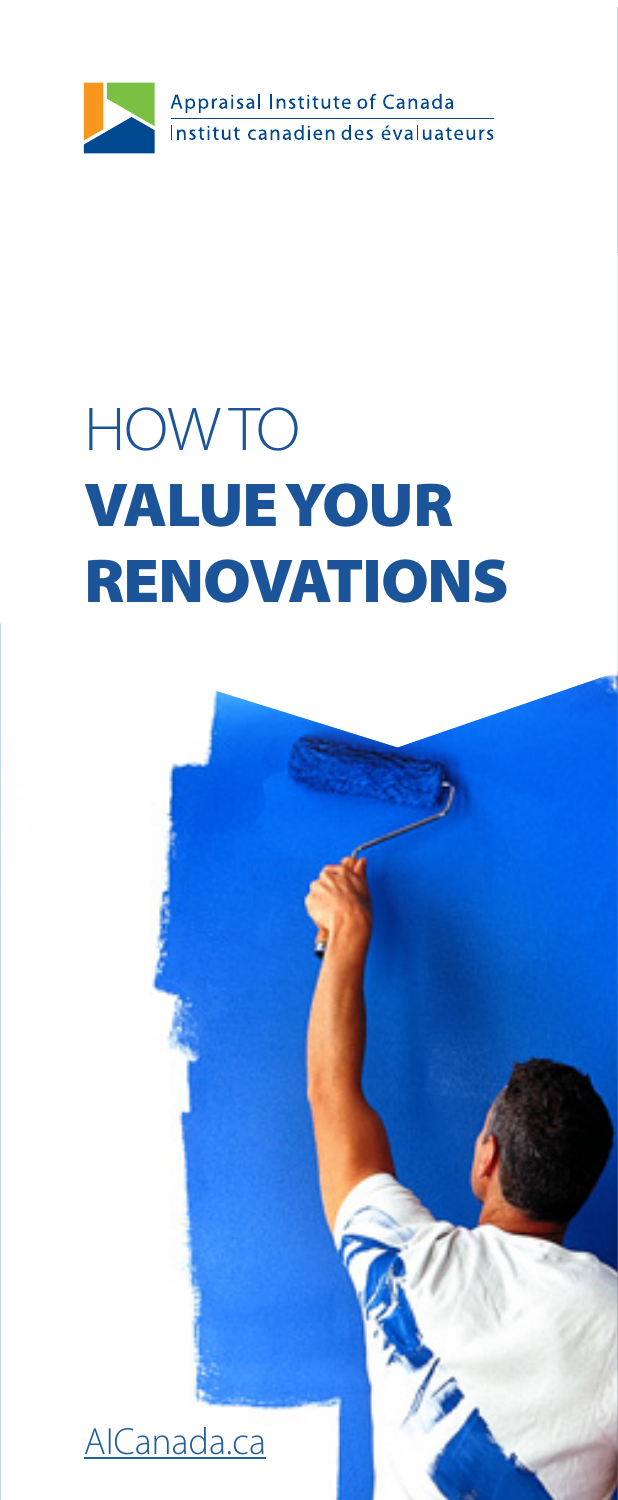

# HOW TO VALUE YOUR RENOVATIONS

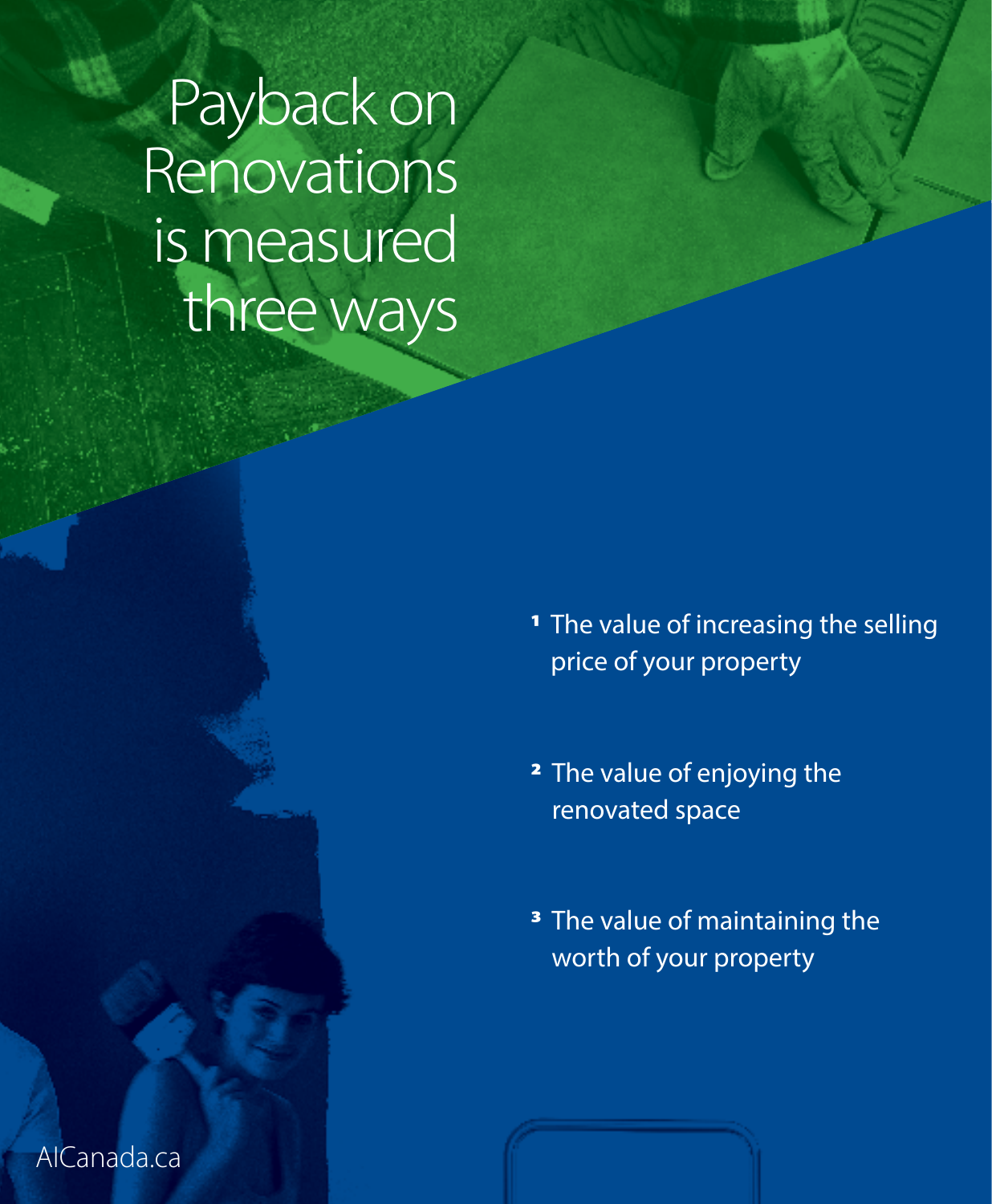Payback on Renovations is measured three ways

> <sup>1</sup> The value of increasing the selling price of your property

2 The value of enjoying the renovated space

<sup>3</sup> The value of maintaining the worth of your property

[AICanada.ca](http://www.aicanada.ca/)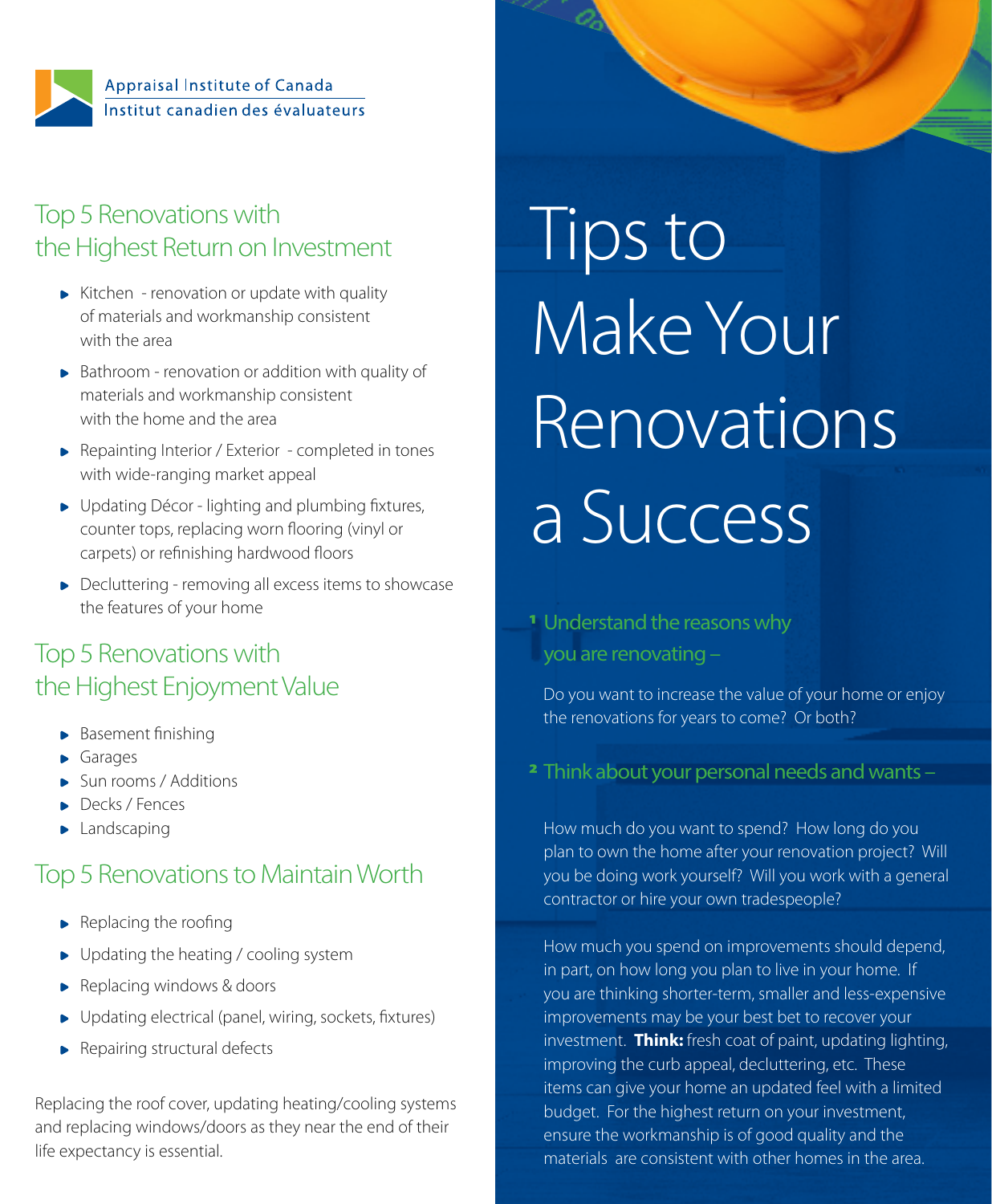

# Top 5 Renovations with the Highest Return on Investment

- Kitchen renovation or update with quality of materials and workmanship consistent with the area
- Bathroom renovation or addition with quality of materials and workmanship consistent with the home and the area
- ▶ Repainting Interior / Exterior completed in tones with wide-ranging market appeal
- ▶ Updating Décor lighting and plumbing fixtures, counter tops, replacing worn flooring (vinyl or carpets) or refinishing hardwood floors
- ▶ Decluttering removing all excess items to showcase the features of your home

## Top 5 Renovations with the Highest Enjoyment Value

- Basement finishing
- Garages
- Sun rooms / Additions
- Decks / Fences
- Landscaping

## Top 5 Renovations to Maintain Worth

- $\blacktriangleright$  Replacing the roofing
- ▶ Updating the heating / cooling system
- Replacing windows & doors
- Updating electrical (panel, wiring, sockets, fixtures)
- **Repairing structural defects**

Replacing the roof cover, updating heating/cooling systems and replacing windows/doors as they near the end of their life expectancy is essential.

Tips to Make Your Renovations a Success

### 1 Understand the reasons why you are renovating –

Do you want to increase the value of your home or enjoy the renovations for years to come? Or both?

2 Think about your personal needs and wants –

How much do you want to spend? How long do you plan to own the home after your renovation project? Will you be doing work yourself? Will you work with a general contractor or hire your own tradespeople?

How much you spend on improvements should depend, in part, on how long you plan to live in your home. If you are thinking shorter-term, smaller and less-expensive improvements may be your best bet to recover your investment. **Think:** fresh coat of paint, updating lighting, improving the curb appeal, decluttering, etc. These items can give your home an updated feel with a limited budget. For the highest return on your investment, ensure the workmanship is of good quality and the materials are consistent with other homes in the area.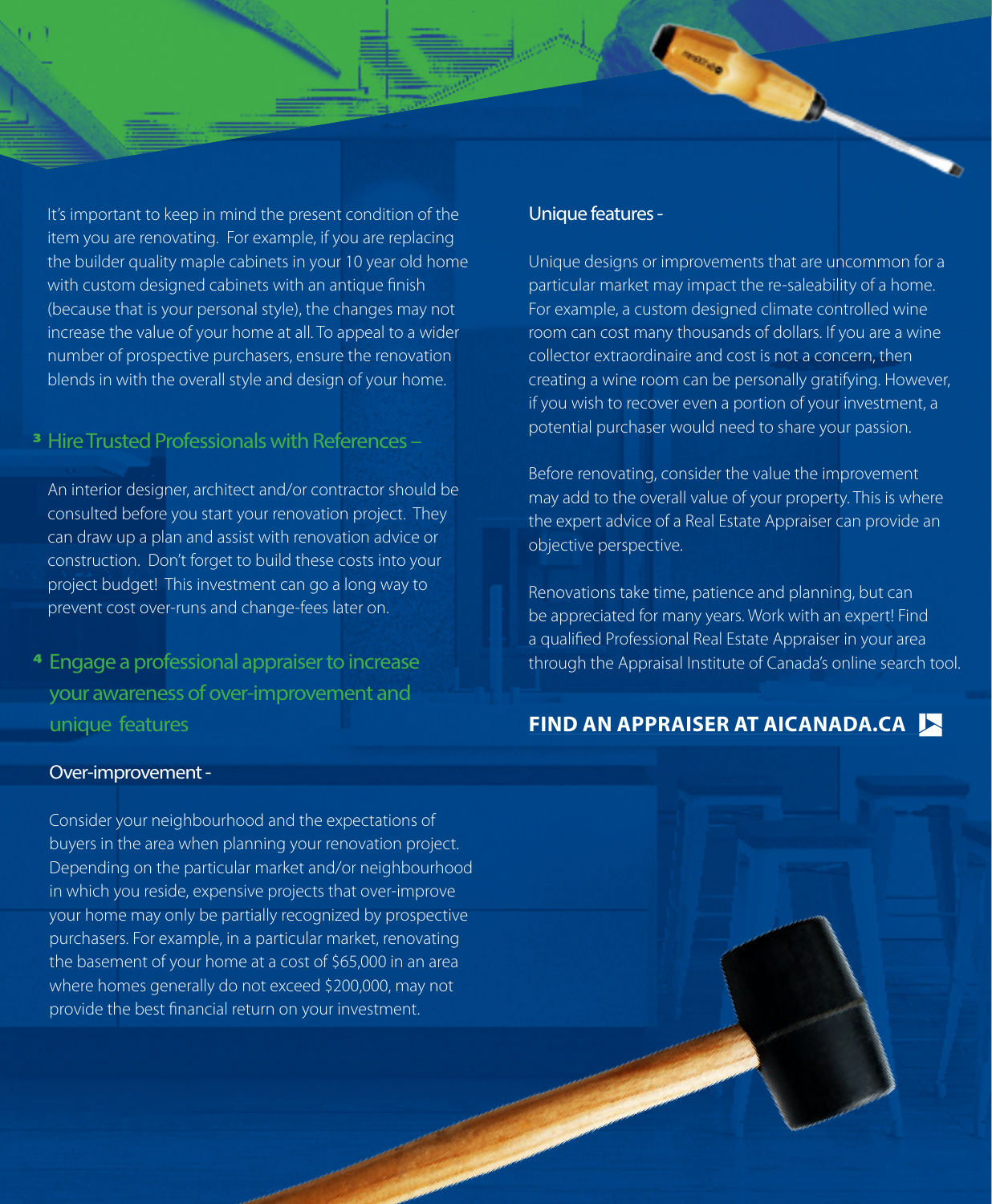It's important to keep in mind the present condition of the item you are renovating. For example, if you are replacing the builder quality maple cabinets in your 10 year old home with custom designed cabinets with an antique finish (because that is your personal style), the changes may not increase the value of your home at all. To appeal to a wider number of prospective purchasers, ensure the renovation blends in with the overall style and design of your home.

#### 3 Hire Trusted Professionals with References –

An interior designer, architect and/or contractor should be consulted before you start your renovation project. They can draw up a plan and assist with renovation advice or construction. Don't forget to build these costs into your project budget! This investment can go a long way to prevent cost over-runs and change-fees later on.

4 Engage a professional appraiser to increase your awareness of over-improvement and unique features

#### Unique features -

Unique designs or improvements that are uncommon for a particular market may impact the re-saleability of a home. For example, a custom designed climate controlled wine room can cost many thousands of dollars. If you are a wine collector extraordinaire and cost is not a concern, then creating a wine room can be personally gratifying. However, if you wish to recover even a portion of your investment, a potential purchaser would need to share your passion.

Before renovating, consider the value the improvement may add to the overall value of your property. This is where the expert advice of a Real Estate Appraiser can provide an objective perspective.

Renovations take time, patience and planning, but can be appreciated for many years. Work with an expert! Find a qualified Professional Real Estate Appraiser in your area through the Appraisal Institute of Canada's online search tool.

### **[FIND AN APPRAISER AT AICANADA.CA](http://www.aicanada.ca/find-an-appraiser/)**

#### Over-improvement -

Consider your neighbourhood and the expectations of buyers in the area when planning your renovation project. Depending on the particular market and/or neighbourhood in which you reside, expensive projects that over-improve your home may only be partially recognized by prospective purchasers. For example, in a particular market, renovating the basement of your home at a cost of \$65,000 in an area where homes generally do not exceed \$200,000, may not provide the best financial return on your investment.